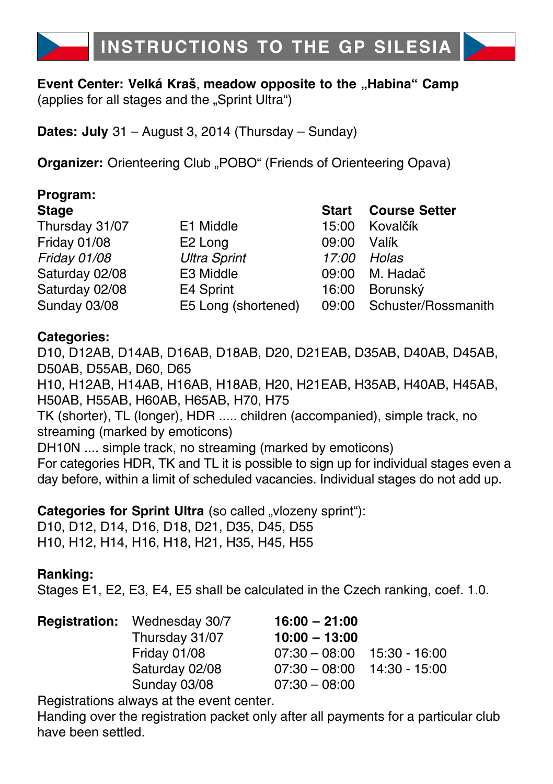

#### **Event Center: Velká Kraš, meadow opposite to the "Habina" Camp** (applies for all stages and the "Sprint Ultra")

**Dates: July** 31 – August 3, 2014 (Thursday – Sunday)

**Organizer:** Orienteering Club "POBO" (Friends of Orienteering Opava)

| Program:       |                     |              |                      |
|----------------|---------------------|--------------|----------------------|
| <b>Stage</b>   |                     | <b>Start</b> | <b>Course Setter</b> |
| Thursday 31/07 | E1 Middle           | 15:00        | Kovalčík             |
| Friday 01/08   | E <sub>2</sub> Long | 09:00        | Valík                |
| Friday 01/08   | <b>Ultra Sprint</b> | 17:00        | Holas                |
| Saturday 02/08 | E3 Middle           | 09:00        | M. Hadač             |
| Saturday 02/08 | E4 Sprint           | 16:00        | Borunský             |
| Sunday 03/08   | E5 Long (shortened) | 09:00        | Schuster/Rossmanith  |

### **Categories:**

D10, D12AB, D14AB, D16AB, D18AB, D20, D21EAB, D35AB, D40AB, D45AB, D50AB, D55AB, D60, D65

H10, H12AB, H14AB, H16AB, H18AB, H20, H21EAB, H35AB, H40AB, H45AB, H50AB, H55AB, H60AB, H65AB, H70, H75

TK (shorter), TL (longer), HDR ..... children (accompanied), simple track, no streaming (marked by emoticons)

DH10N .... simple track, no streaming (marked by emoticons)

For categories HDR, TK and TL it is possible to sign up for individual stages even a day before, within a limit of scheduled vacancies. Individual stages do not add up.

**Categories for Sprint Ultra** (so called "vlozeny sprint"): D10, D12, D14, D16, D18, D21, D35, D45, D55 H10, H12, H14, H16, H18, H21, H35, H45, H55

### **Ranking:**

Stages E1, E2, E3, E4, E5 shall be calculated in the Czech ranking, coef. 1.0.

| <b>Registration:</b> Wednesday 30/7 | $16:00 - 21:00$               |               |
|-------------------------------------|-------------------------------|---------------|
| Thursday 31/07                      | $10:00 - 13:00$               |               |
| Friday 01/08                        | $07:30 - 08:00$               | 15:30 - 16:00 |
| Saturday 02/08                      | $07:30 - 08:00$ 14:30 - 15:00 |               |
| Sunday 03/08                        | $07:30 - 08:00$               |               |

Registrations always at the event center.

Handing over the registration packet only after all payments for a particular club have been settled.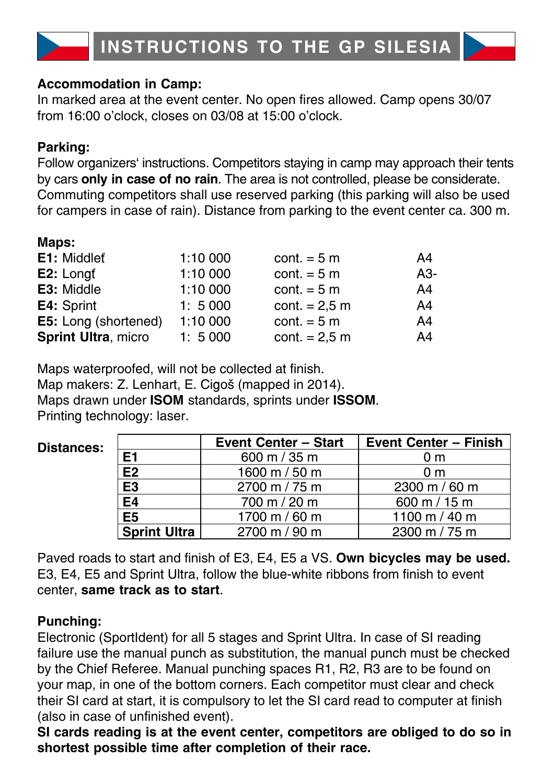#### **Accommodation in Camp:**

In marked area at the event center. No open fires allowed. Camp opens 30/07 from 16:00 o'clock, closes on 03/08 at 15:00 o'clock.

### **Parking:**

Follow organizers' instructions. Competitors staying in camp may approach their tents by cars **only in case of no rain**. The area is not controlled, please be considerate. Commuting competitors shall use reserved parking (this parking will also be used for campers in case of rain). Distance from parking to the event center ca. 300 m.

### **Maps:**

| E1: Middlet                | 1:10 000 | cont. $= 5$ m   | A4  |
|----------------------------|----------|-----------------|-----|
| E2: Longt                  | 1:10 000 | cont. $= 5$ m   | A3- |
| E3: Middle                 | 1:10 000 | cont. $= 5$ m   | A4  |
| E4: Sprint                 | 1:5000   | $cont. = 2.5 m$ | A4  |
| E5: Long (shortened)       | 1:10 000 | cont. $= 5$ m   | A4  |
| <b>Sprint Ultra, micro</b> | 1:5000   | $cont. = 2.5 m$ | A4  |

Maps waterproofed, will not be collected at finish. Map makers: Z. Lenhart, E. Cigoš (mapped in 2014). Maps drawn under **ISOM** standards, sprints under **ISSOM**. Printing technology: laser.

| Distances: |                     | <b>Event Center - Start</b> | <b>Event Center - Finish</b> |  |  |  |
|------------|---------------------|-----------------------------|------------------------------|--|--|--|
|            | E <sub>1</sub>      | 600 m $/$ 35 m              | 0 <sub>m</sub>               |  |  |  |
|            | E <sub>2</sub>      | 1600 m / 50 m               | 0 <sub>m</sub>               |  |  |  |
|            | E <sub>3</sub>      | 2700 m / 75 m               | 2300 m / 60 m                |  |  |  |
|            | E4                  | 700 m / 20 m                | 600 m / 15 m                 |  |  |  |
|            | E <sub>5</sub>      | 1700 m / 60 m               | 1100 m / 40 m                |  |  |  |
|            | <b>Sprint Ultra</b> | 2700 m / 90 m               | 2300 m / 75 m                |  |  |  |

Paved roads to start and finish of E3, E4, E5 a VS. **Own bicycles may be used.** E3, E4, E5 and Sprint Ultra, follow the blue-white ribbons from finish to event center, **same track as to start**.

### **Punching:**

Electronic (SportIdent) for all 5 stages and Sprint Ultra. In case of SI reading failure use the manual punch as substitution, the manual punch must be checked by the Chief Referee. Manual punching spaces R1, R2, R3 are to be found on your map, in one of the bottom corners. Each competitor must clear and check their SI card at start, it is compulsory to let the SI card read to computer at finish (also in case of unfinished event).

**SI cards reading is at the event center, competitors are obliged to do so in shortest possible time after completion of their race.**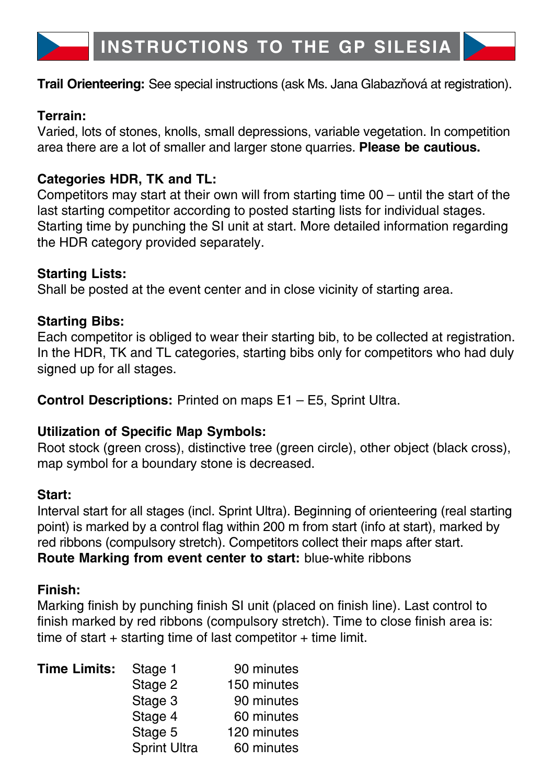

#### **Terrain:**

Varied, lots of stones, knolls, small depressions, variable vegetation. In competition area there are a lot of smaller and larger stone quarries. **Please be cautious.**

### **Categories HDR, TK and TL:**

Competitors may start at their own will from starting time 00 – until the start of the last starting competitor according to posted starting lists for individual stages. Starting time by punching the SI unit at start. More detailed information regarding the HDR category provided separately.

### **Starting Lists:**

Shall be posted at the event center and in close vicinity of starting area.

## **Starting Bibs:**

Each competitor is obliged to wear their starting bib, to be collected at registration. In the HDR, TK and TL categories, starting bibs only for competitors who had duly signed up for all stages.

**Control Descriptions:** Printed on maps E1 – E5, Sprint Ultra.

### **Utilization of Specific Map Symbols:**

Root stock (green cross), distinctive tree (green circle), other object (black cross), map symbol for a boundary stone is decreased.

### **Start:**

Interval start for all stages (incl. Sprint Ultra). Beginning of orienteering (real starting point) is marked by a control flag within 200 m from start (info at start), marked by red ribbons (compulsory stretch). Competitors collect their maps after start. **Route Marking from event center to start:** blue-white ribbons

### **Finish:**

Marking finish by punching finish SI unit (placed on finish line). Last control to finish marked by red ribbons (compulsory stretch). Time to close finish area is: time of start  $+$  starting time of last competitor  $+$  time limit.

| <b>Time Limits:</b> | Stage 1             | 90 minutes  |  |  |  |  |
|---------------------|---------------------|-------------|--|--|--|--|
|                     | Stage 2             | 150 minutes |  |  |  |  |
|                     | Stage 3             | 90 minutes  |  |  |  |  |
|                     | Stage 4             | 60 minutes  |  |  |  |  |
|                     | Stage 5             | 120 minutes |  |  |  |  |
|                     | <b>Sprint Ultra</b> | 60 minutes  |  |  |  |  |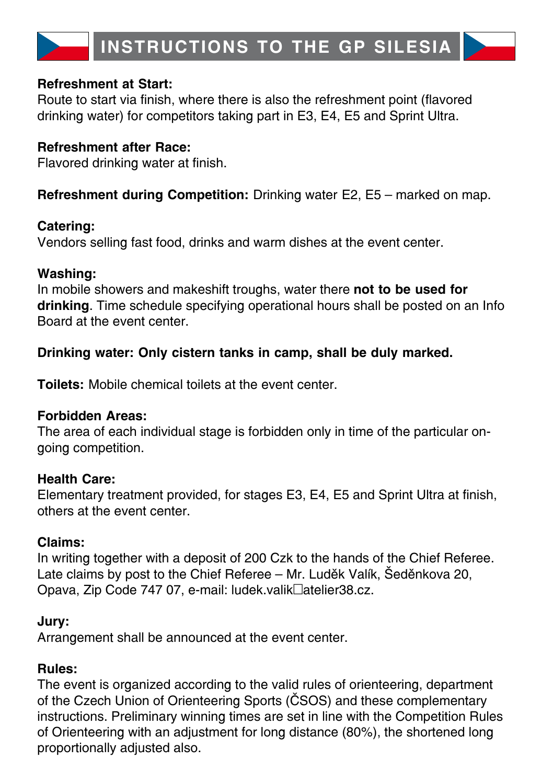#### **Refreshment at Start:**

Route to start via finish, where there is also the refreshment point (flavored drinking water) for competitors taking part in E3, E4, E5 and Sprint Ultra.

### **Refreshment after Race:**

Flavored drinking water at finish.

**Refreshment during Competition:** Drinking water E2, E5 – marked on map.

### **Catering:**

Vendors selling fast food, drinks and warm dishes at the event center.

### **Washing:**

In mobile showers and makeshift troughs, water there **not to be used for drinking**. Time schedule specifying operational hours shall be posted on an Info Board at the event center.

## **Drinking water: Only cistern tanks in camp, shall be duly marked.**

**Toilets:** Mobile chemical toilets at the event center.

### **Forbidden Areas:**

The area of each individual stage is forbidden only in time of the particular ongoing competition.

### **Health Care:**

Elementary treatment provided, for stages E3, E4, E5 and Sprint Ultra at finish, others at the event center.

### **Claims:**

In writing together with a deposit of 200 Czk to the hands of the Chief Referee. Late claims by post to the Chief Referee – Mr. Luděk Valík, Šeděnkova 20, Opava, Zip Code 747 07, e-mail: ludek.valik@atelier38.cz.

### **Jury:**

Arrangement shall be announced at the event center.

### **Rules:**

The event is organized according to the valid rules of orienteering, department of the Czech Union of Orienteering Sports (ČSOS) and these complementary instructions. Preliminary winning times are set in line with the Competition Rules of Orienteering with an adjustment for long distance (80%), the shortened long proportionally adjusted also.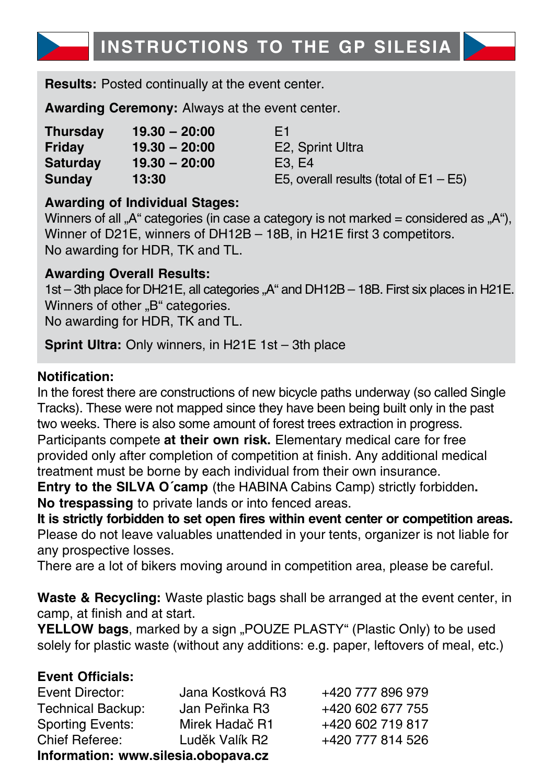

**Results:** Posted continually at the event center.

**Awarding Ceremony:** Always at the event center.

| <b>Thursday</b> | $19.30 - 20:00$ | E1 |
|-----------------|-----------------|----|
| Friday          | $19.30 - 20:00$ | E2 |
| <b>Saturday</b> | $19.30 - 20:00$ | E3 |
| <b>Sunday</b>   | 13:30           | E5 |

**Friday 19.30 – 20:00** E2, Sprint Ultra **Saturday 19.30 – 20:00** E3, E4 E5, overall results (total of  $E1 - E5$ )

### **Awarding of Individual Stages:**

Winners of all .. $A^{\mu}$  categories (in case a category is not marked = considered as  $A^{\mu}$ ), Winner of D21E, winners of DH12B – 18B, in H21E first 3 competitors. No awarding for HDR, TK and TL.

### **Awarding Overall Results:**

1st – 3th place for DH21E, all categories . A and DH12B – 18B. First six places in H21E. Winners of other ..B" categories.

No awarding for HDR, TK and TL.

**Sprint Ultra:** Only winners, in H21E 1st – 3th place

### **Notification:**

In the forest there are constructions of new bicycle paths underway (so called Single Tracks). These were not mapped since they have been being built only in the past two weeks. There is also some amount of forest trees extraction in progress. Participants compete **at their own risk.** Elementary medical care for free provided only after completion of competition at finish. Any additional medical treatment must be borne by each individual from their own insurance.

**Entry to the SILVA O´camp** (the HABINA Cabins Camp) strictly forbidden**. No trespassing** to private lands or into fenced areas.

**It is strictly forbidden to set open fires within event center or competition areas.** Please do not leave valuables unattended in your tents, organizer is not liable for any prospective losses.

There are a lot of bikers moving around in competition area, please be careful.

**Waste & Recycling:** Waste plastic bags shall be arranged at the event center, in camp, at finish and at start.

**YELLOW bags**, marked by a sign "POUZE PLASTY" (Plastic Only) to be used solely for plastic waste (without any additions: e.g. paper, leftovers of meal, etc.)

### **Event Officials:**

| Event Director:                     | Jana Kostková R3 | +420 777 896 979 |  |  |  |  |  |  |  |
|-------------------------------------|------------------|------------------|--|--|--|--|--|--|--|
| <b>Technical Backup:</b>            | Jan Peřinka R3   | +420 602 677 755 |  |  |  |  |  |  |  |
| <b>Sporting Events:</b>             | Mirek Hadač R1   | +420 602 719 817 |  |  |  |  |  |  |  |
| Chief Referee:                      | Luděk Valík R2   | +420 777 814 526 |  |  |  |  |  |  |  |
| Information: www.silesia.obopaya.cz |                  |                  |  |  |  |  |  |  |  |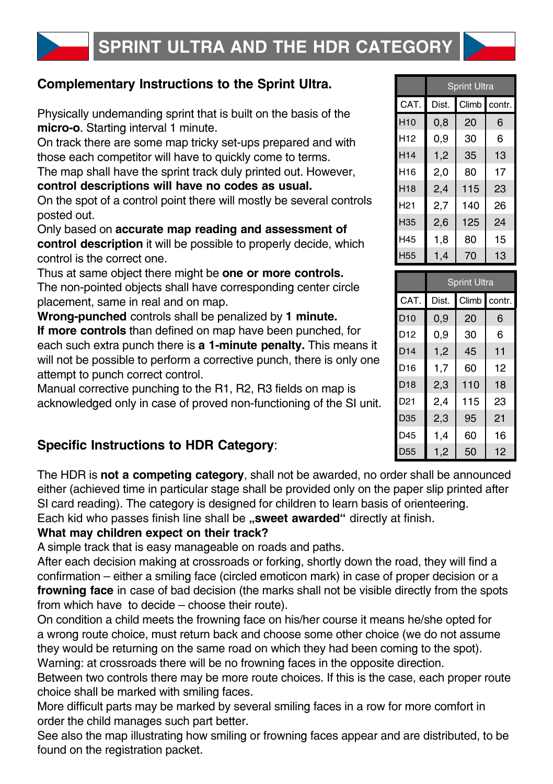

# **Complementary Instructions to the Sprint Ultra.**

Physically undemanding sprint that is built on the basis of the **micro-o**. Starting interval 1 minute.

On track there are some map tricky set-ups prepared and with those each competitor will have to quickly come to terms.

The map shall have the sprint track duly printed out. However,

**control descriptions will have no codes as usual.**

On the spot of a control point there will mostly be several controls posted out.

Only based on **accurate map reading and assessment of control description** it will be possible to properly decide, which control is the correct one.

Thus at same object there might be **one or more controls.** The non-pointed objects shall have corresponding center circle placement, same in real and on map.

**Wrong-punched** controls shall be penalized by **1 minute. If more controls** than defined on map have been punched, for each such extra punch there is **a 1-minute penalty.** This means it will not be possible to perform a corrective punch, there is only one attempt to punch correct control.

Manual corrective punching to the R1, R2, R3 fields on map is acknowledged only in case of proved non-functioning of the SI unit.

## **Specific Instructions to HDR Category**:

The HDR is **not a competing category**, shall not be awarded, no order shall be announced either (achieved time in particular stage shall be provided only on the paper slip printed after SI card reading). The category is designed for children to learn basis of orienteering.

Each kid who passes finish line shall be **"sweet awarded"** directly at finish.

#### **What may children expect on their track?**

A simple track that is easy manageable on roads and paths.

After each decision making at crossroads or forking, shortly down the road, they will find a confirmation – either a smiling face (circled emoticon mark) in case of proper decision or a **frowning face** in case of bad decision (the marks shall not be visible directly from the spots from which have to decide – choose their route).

On condition a child meets the frowning face on his/her course it means he/she opted for a wrong route choice, must return back and choose some other choice (we do not assume they would be returning on the same road on which they had been coming to the spot).

Warning: at crossroads there will be no frowning faces in the opposite direction.

Between two controls there may be more route choices. If this is the case, each proper route choice shall be marked with smiling faces.

More difficult parts may be marked by several smiling faces in a row for more comfort in order the child manages such part better.

See also the map illustrating how smiling or frowning faces appear and are distributed, to be found on the registration packet.

|                 | <b>Sprint Ultra</b> |       |        |  |  |  |  |  |  |
|-----------------|---------------------|-------|--------|--|--|--|--|--|--|
| CAT.            | Dist.               | Climb | contr. |  |  |  |  |  |  |
| H <sub>10</sub> | 0,8                 | 20    | 6      |  |  |  |  |  |  |
| H <sub>12</sub> | 0.9                 | 30    | 6      |  |  |  |  |  |  |
| H <sub>14</sub> | 1,2                 | 35    | 13     |  |  |  |  |  |  |
| H <sub>16</sub> | 2,0                 | 80    | 17     |  |  |  |  |  |  |
| H <sub>18</sub> | 2,4                 | 115   | 23     |  |  |  |  |  |  |
| H <sub>21</sub> | 2,7                 | 140   | 26     |  |  |  |  |  |  |
| H35             | 2,6                 | 125   | 24     |  |  |  |  |  |  |
| H45             | 1.8                 | 80    | 15     |  |  |  |  |  |  |
| H55             | 1,4                 | 70    | 13     |  |  |  |  |  |  |

|                 | <b>Sprint Ultra</b> |       |        |  |  |  |  |  |  |
|-----------------|---------------------|-------|--------|--|--|--|--|--|--|
| CAT.            | Dist.               | Climb | contr. |  |  |  |  |  |  |
| D <sub>10</sub> | 0,9                 | 20    | 6      |  |  |  |  |  |  |
| D <sub>12</sub> | 0.9                 | 30    | 6      |  |  |  |  |  |  |
| D14             | 1,2                 | 45    | 11     |  |  |  |  |  |  |
| D <sub>16</sub> | 1,7                 | 60    | 12     |  |  |  |  |  |  |
| D <sub>18</sub> | 2,3                 | 110   | 18     |  |  |  |  |  |  |
| D <sub>21</sub> | 2.4                 | 115   | 23     |  |  |  |  |  |  |
| D <sub>35</sub> | 2,3                 | 95    | 21     |  |  |  |  |  |  |
| D45             | 1,4                 | 60    | 16     |  |  |  |  |  |  |
| D <sub>55</sub> | 1,2                 | 50    | 12     |  |  |  |  |  |  |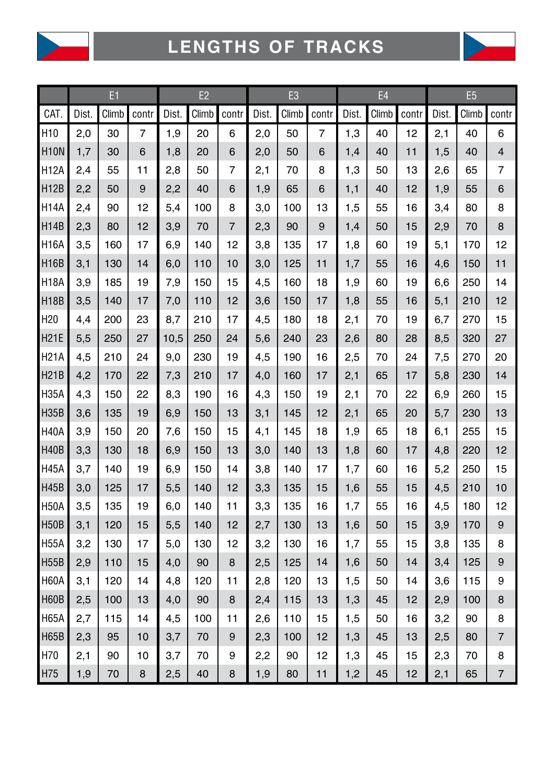



|                 | E1    |       |       | E2    |       |                |       | E <sub>3</sub> |       |       | E4    |       |       | E <sub>5</sub> |                         |  |
|-----------------|-------|-------|-------|-------|-------|----------------|-------|----------------|-------|-------|-------|-------|-------|----------------|-------------------------|--|
| CAT.            | Dist. | Climb | contr | Dist. | Climb | contr          | Dist. | Climb          | contr | Dist. | Climb | contr | Dist. | Climb          | contr                   |  |
| H <sub>10</sub> | 2,0   | 30    | 7     | 1,9   | 20    | 6              | 2,0   | 50             | 7     | 1,3   | 40    | 12    | 2.1   | 40             | 6                       |  |
| <b>H10N</b>     | 1,7   | 30    | 6     | 1,8   | 20    | 6              | 2,0   | 50             | 6     | 1,4   | 40    | 11    | 1,5   | 40             | $\overline{\mathbf{4}}$ |  |
| <b>H12A</b>     | 2,4   | 55    | 11    | 2,8   | 50    | 7              | 2,1   | 70             | 8     | 1,3   | 50    | 13    | 2,6   | 65             | 7                       |  |
| <b>H12B</b>     | 2,2   | 50    | 9     | 2,2   | 40    | 6              | 1,9   | 65             | 6     | 1,1   | 40    | 12    | 1,9   | 55             | 6                       |  |
| <b>H14A</b>     | 2,4   | 90    | 12    | 5,4   | 100   | 8              | 3,0   | 100            | 13    | 1,5   | 55    | 16    | 3,4   | 80             | 8                       |  |
| <b>H14B</b>     | 2,3   | 80    | 12    | 3,9   | 70    | $\overline{7}$ | 2,3   | 90             | 9     | 1,4   | 50    | 15    | 2,9   | 70             | 8                       |  |
| <b>H16A</b>     | 3,5   | 160   | 17    | 6,9   | 140   | 12             | 3,8   | 135            | 17    | 1,8   | 60    | 19    | 5,1   | 170            | 12                      |  |
| <b>H16B</b>     | 3,1   | 130   | 14    | 6,0   | 110   | 10             | 3,0   | 125            | 11    | 1,7   | 55    | 16    | 4,6   | 150            | 11                      |  |
| <b>H18A</b>     | 3,9   | 185   | 19    | 7,9   | 150   | 15             | 4,5   | 160            | 18    | 1,9   | 60    | 19    | 6,6   | 250            | 14                      |  |
| <b>H18B</b>     | 3,5   | 140   | 17    | 7,0   | 110   | 12             | 3,6   | 150            | 17    | 1,8   | 55    | 16    | 5,1   | 210            | 12                      |  |
| H <sub>20</sub> | 4,4   | 200   | 23    | 8,7   | 210   | 17             | 4,5   | 180            | 18    | 2,1   | 70    | 19    | 6,7   | 270            | 15                      |  |
| <b>H21E</b>     | 5,5   | 250   | 27    | 10,5  | 250   | 24             | 5,6   | 240            | 23    | 2,6   | 80    | 28    | 8,5   | 320            | 27                      |  |
| <b>H21A</b>     | 4,5   | 210   | 24    | 9,0   | 230   | 19             | 4,5   | 190            | 16    | 2,5   | 70    | 24    | 7,5   | 270            | 20                      |  |
| <b>H21B</b>     | 4,2   | 170   | 22    | 7,3   | 210   | 17             | 4,0   | 160            | 17    | 2,1   | 65    | 17    | 5,8   | 230            | 14                      |  |
| <b>H35A</b>     | 4,3   | 150   | 22    | 8,3   | 190   | 16             | 4,3   | 150            | 19    | 2,1   | 70    | 22    | 6,9   | 260            | 15                      |  |
| <b>H35B</b>     | 3,6   | 135   | 19    | 6,9   | 150   | 13             | 3,1   | 145            | 12    | 2,1   | 65    | 20    | 5,7   | 230            | 13                      |  |
| <b>H40A</b>     | 3.9   | 150   | 20    | 7,6   | 150   | 15             | 4,1   | 145            | 18    | 1,9   | 65    | 18    | 6,1   | 255            | 15                      |  |
| <b>H40B</b>     | 3,3   | 130   | 18    | 6,9   | 150   | 13             | 3,0   | 140            | 13    | 1,8   | 60    | 17    | 4,8   | 220            | 12                      |  |
| <b>H45A</b>     | 3,7   | 140   | 19    | 6,9   | 150   | 14             | 3,8   | 140            | 17    | 1,7   | 60    | 16    | 5,2   | 250            | 15                      |  |
| <b>H45B</b>     | 3,0   | 125   | 17    | 5,5   | 140   | 12             | 3,3   | 135            | 15    | 1,6   | 55    | 15    | 4,5   | 210            | 10                      |  |
| <b>H50A</b>     | 3,5   | 135   | 19    | 6,0   | 140   | 11             | 3,3   | 135            | 16    | 1,7   | 55    | 16    | 4,5   | 180            | 12                      |  |
| <b>H50B</b>     | 3,1   | 120   | 15    | 5,5   | 140   | 12             | 2,7   | 130            | 13    | 1,6   | 50    | 15    | 3,9   | 170            | 9                       |  |
| <b>H55A</b>     | 3,2   | 130   | 17    | 5,0   | 130   | 12             | 3,2   | 130            | 16    | 1,7   | 55    | 15    | 3,8   | 135            | 8                       |  |
| <b>H55B</b>     | 2,9   | 110   | 15    | 4,0   | 90    | 8              | 2,5   | 125            | 14    | 1,6   | 50    | 14    | 3,4   | 125            | 9                       |  |
| <b>H60A</b>     | 3,1   | 120   | 14    | 4,8   | 120   | 11             | 2,8   | 120            | 13    | 1,5   | 50    | 14    | 3,6   | 115            | 9                       |  |
| H60B            | 2,5   | 100   | 13    | 4,0   | 90    | 8              | 2,4   | 115            | 13    | 1,3   | 45    | 12    | 2,9   | 100            | 8                       |  |
| <b>H65A</b>     | 2,7   | 115   | 14    | 4,5   | 100   | 11             | 2,6   | 110            | 15    | 1,5   | 50    | 16    | 3,2   | 90             | 8                       |  |
| <b>H65B</b>     | 2,3   | 95    | 10    | 3,7   | 70    | 9              | 2,3   | 100            | 12    | 1,3   | 45    | 13    | 2,5   | 80             | $\overline{7}$          |  |
| H70             | 2,1   | 90    | 10    | 3,7   | 70    | 9              | 2,2   | 90             | 12    | 1,3   | 45    | 15    | 2,3   | 70             | 8                       |  |
| H75             | 1,9   | 70    | 8     | 2,5   | 40    | 8              | 1,9   | 80             | 11    | 1,2   | 45    | 12    | 2,1   | 65             | $\overline{7}$          |  |